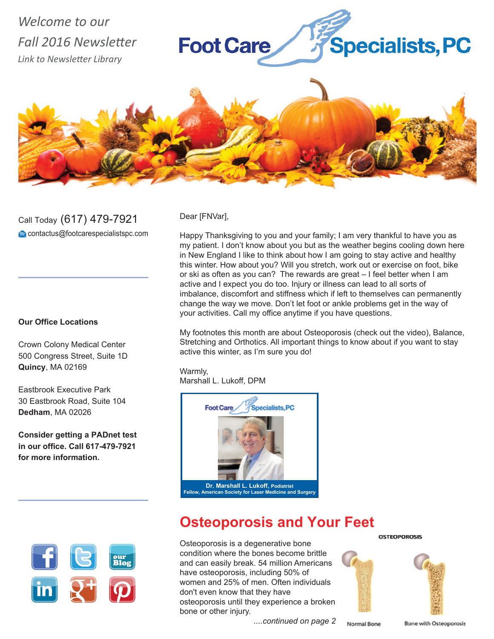## *Welcome to our Fall 2016 Newsletter Link to Newsletter Library*





Call Today (617) 479-7921 contactus@footcarespecialistspc.com

#### **Our Office Locations**

Crown Colony Medical Center 500 Congress Street, Suite 1D **Quincy**, MA 02169

Eastbrook Executive Park 30 Eastbrook Road, Suite 104 **Dedham**, MA 02026

**Consider getting a PADnet test in our office. Call 617-479-7921 for more information.**



Dear [FNVar],

Happy Thanksgiving to you and your family; I am very thankful to have you as my patient. I don't know about you but as the weather begins cooling down here in New England I like to think about how I am going to stay active and healthy this winter. How about you? Will you stretch, work out or exercise on foot, bike or ski as often as you can? The rewards are great – I feel better when I am active and I expect you do too. Injury or illness can lead to all sorts of imbalance, discomfort and stiffness which if left to themselves can permanently change the way we move. Don't let foot or ankle problems get in the way of your activities. Call my office anytime if you have questions.

My footnotes this month are about Osteoporosis (check out the video), Balance, Stretching and Orthotics. All important things to know about if you want to stay active this winter, as I'm sure you do!

Warmly, Marshall L. Lukoff, DPM



# **Osteoporosis and Your Feet**

Osteoporosis is a degenerative bone condition where the bones become brittle and can easily break. 54 million Americans have osteoporosis, including 50% of women and 25% of men. Often individuals don't even know that they have osteoporosis until they experience a broken bone or other injury.

 *....continued on page 2* Normal Bone

**Bone with Osteoporosis** 

**OSTEOPOROSIS**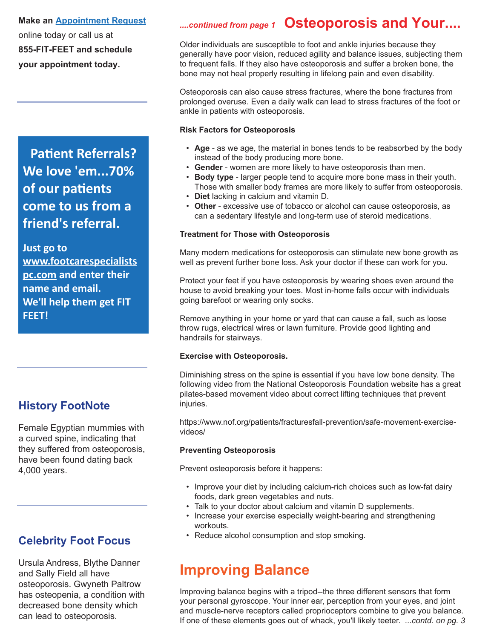**Make an Appointment Request**

online today or call us at **855-FIT-FEET and schedule your appointment today.**

# **Patient Referrals? We love 'em...70% of our patients come to us from a friend's referral.**

**Just go to www.footcarespecialists pc.com and enter their name and email. We'll help them get FIT FEET!**

### **History FootNote**

Female Egyptian mummies with a curved spine, indicating that they suffered from osteoporosis, have been found dating back 4,000 years.

### **Celebrity Foot Focus**

Ursula Andress, Blythe Danner and Sally Field all have osteoporosis. Gwyneth Paltrow has osteopenia, a condition with decreased bone density which can lead to osteoporosis.

## *....continued from page 1* **Osteoporosis and Your....**

Older individuals are susceptible to foot and ankle injuries because they generally have poor vision, reduced agility and balance issues, subjecting them to frequent falls. If they also have osteoporosis and suffer a broken bone, the bone may not heal properly resulting in lifelong pain and even disability.

Osteoporosis can also cause stress fractures, where the bone fractures from prolonged overuse. Even a daily walk can lead to stress fractures of the foot or ankle in patients with osteoporosis.

#### **Risk Factors for Osteoporosis**

- **Age** as we age, the material in bones tends to be reabsorbed by the body instead of the body producing more bone.
- **Gender** women are more likely to have osteoporosis than men.
- **Body type** larger people tend to acquire more bone mass in their youth. Those with smaller body frames are more likely to suffer from osteoporosis.
- **Diet** lacking in calcium and vitamin D.
- **Other** excessive use of tobacco or alcohol can cause osteoporosis, as can a sedentary lifestyle and long-term use of steroid medications.

#### **Treatment for Those with Osteoporosis**

Many modern medications for osteoporosis can stimulate new bone growth as well as prevent further bone loss. Ask your doctor if these can work for you.

Protect your feet if you have osteoporosis by wearing shoes even around the house to avoid breaking your toes. Most in-home falls occur with individuals going barefoot or wearing only socks.

Remove anything in your home or yard that can cause a fall, such as loose throw rugs, electrical wires or lawn furniture. Provide good lighting and handrails for stairways.

#### **Exercise with Osteoporosis.**

Diminishing stress on the spine is essential if you have low bone density. The following video from the National Osteoporosis Foundation website has a great pilates-based movement video about correct lifting techniques that prevent injuries.

https://www.nof.org/patients/fracturesfall-prevention/safe-movement-exercisevideos/

#### **Preventing Osteoporosis**

Prevent osteoporosis before it happens:

- Improve your diet by including calcium-rich choices such as low-fat dairy foods, dark green vegetables and nuts.
- Talk to your doctor about calcium and vitamin D supplements.
- Increase your exercise especially weight-bearing and strengthening workouts.
- Reduce alcohol consumption and stop smoking.

# **Improving Balance**

Improving balance begins with a tripod--the three different sensors that form your personal gyroscope. Your inner ear, perception from your eyes, and joint and muscle-nerve receptors called proprioceptors combine to give you balance. If one of these elements goes out of whack, you'll likely teeter. *...contd. on pg. 3*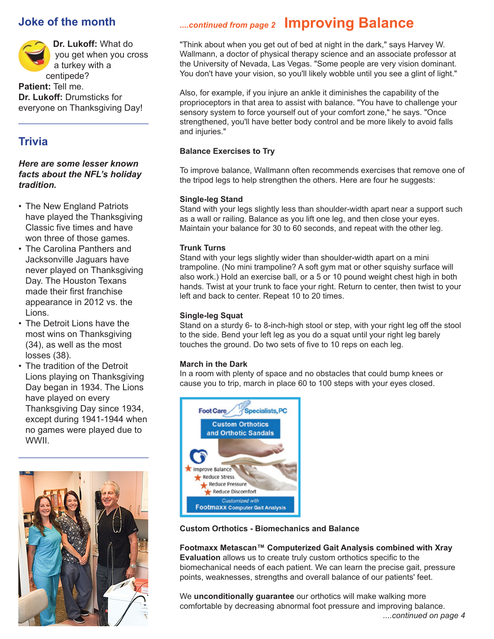### **Joke of the month**



### **Trivia**

#### *Here are some lesser known facts about the NFL's holiday tradition.*

- The New England Patriots have played the Thanksgiving Classic five times and have won three of those games.
- The Carolina Panthers and Jacksonville Jaguars have never played on Thanksgiving Day. The Houston Texans made their first franchise appearance in 2012 vs. the Lions.
- The Detroit Lions have the most wins on Thanksgiving (34), as well as the most losses (38).
- The tradition of the Detroit Lions playing on Thanksgiving Day began in 1934. The Lions have played on every Thanksgiving Day since 1934, except during 1941-1944 when no games were played due to WWII.



# *....continued from page 2* **Improving Balance**

"Think about when you get out of bed at night in the dark," says Harvey W. Wallmann, a doctor of physical therapy science and an associate professor at the University of Nevada, Las Vegas. "Some people are very vision dominant. You don't have your vision, so you'll likely wobble until you see a glint of light."

Also, for example, if you injure an ankle it diminishes the capability of the proprioceptors in that area to assist with balance. "You have to challenge your sensory system to force yourself out of your comfort zone," he says. "Once strengthened, you'll have better body control and be more likely to avoid falls and injuries."

#### **Balance Exercises to Try**

To improve balance, Wallmann often recommends exercises that remove one of the tripod legs to help strengthen the others. Here are four he suggests:

#### **Single-leg Stand**

Stand with your legs slightly less than shoulder-width apart near a support such as a wall or railing. Balance as you lift one leg, and then close your eyes. Maintain your balance for 30 to 60 seconds, and repeat with the other leg.

#### **Trunk Turns**

Stand with your legs slightly wider than shoulder-width apart on a mini trampoline. (No mini trampoline? A soft gym mat or other squishy surface will also work.) Hold an exercise ball, or a 5 or 10 pound weight chest high in both hands. Twist at your trunk to face your right. Return to center, then twist to your left and back to center. Repeat 10 to 20 times.

#### **Single-leg Squat**

Stand on a sturdy 6- to 8-inch-high stool or step, with your right leg off the stool to the side. Bend your left leg as you do a squat until your right leg barely touches the ground. Do two sets of five to 10 reps on each leg.

#### **March in the Dark**

In a room with plenty of space and no obstacles that could bump knees or cause you to trip, march in place 60 to 100 steps with your eyes closed.



#### **Custom Orthotics - Biomechanics and Balance**

**Footmaxx Metascan™ Computerized Gait Analysis combined with Xray Evaluation** allows us to create truly custom orthotics specific to the biomechanical needs of each patient. We can learn the precise gait, pressure points, weaknesses, strengths and overall balance of our patients' feet.

We **unconditionally guarantee** our orthotics will make walking more comfortable by decreasing abnormal foot pressure and improving balance.  *....continued on page 4*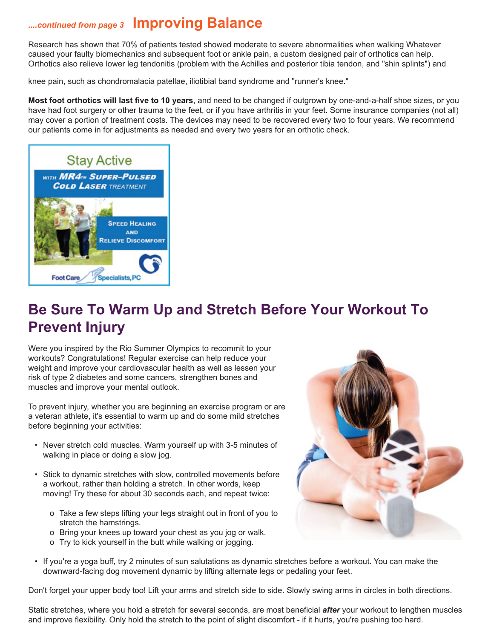### *....continued from page 3* **Improving Balance**

Research has shown that 70% of patients tested showed moderate to severe abnormalities when walking Whatever caused your faulty biomechanics and subsequent foot or ankle pain, a custom designed pair of orthotics can help. Orthotics also relieve lower leg tendonitis (problem with the Achilles and posterior tibia tendon, and "shin splints") and

knee pain, such as chondromalacia patellae, iliotibial band syndrome and "runner's knee."

**Most foot orthotics will last five to 10 years**, and need to be changed if outgrown by one-and-a-half shoe sizes, or you have had foot surgery or other trauma to the feet, or if you have arthritis in your feet. Some insurance companies (not all) may cover a portion of treatment costs. The devices may need to be recovered every two to four years. We recommend our patients come in for adjustments as needed and every two years for an orthotic check.



# **Be Sure To Warm Up and Stretch Before Your Workout To Prevent Injury**

Were you inspired by the Rio Summer Olympics to recommit to your workouts? Congratulations! Regular exercise can help reduce your weight and improve your cardiovascular health as well as lessen your risk of type 2 diabetes and some cancers, strengthen bones and muscles and improve your mental outlook.

To prevent injury, whether you are beginning an exercise program or are a veteran athlete, it's essential to warm up and do some mild stretches before beginning your activities:

- Never stretch cold muscles. Warm yourself up with 3-5 minutes of walking in place or doing a slow jog.
- Stick to dynamic stretches with slow, controlled movements before a workout, rather than holding a stretch. In other words, keep moving! Try these for about 30 seconds each, and repeat twice:
	- o Take a few steps lifting your legs straight out in front of you to stretch the hamstrings.
	- o Bring your knees up toward your chest as you jog or walk.
	- o Try to kick yourself in the butt while walking or jogging.
- 
- If you're a yoga buff, try 2 minutes of sun salutations as dynamic stretches before a workout. You can make the downward-facing dog movement dynamic by lifting alternate legs or pedaling your feet.

Don't forget your upper body too! Lift your arms and stretch side to side. Slowly swing arms in circles in both directions.

Static stretches, where you hold a stretch for several seconds, are most beneficial *after* your workout to lengthen muscles and improve flexibility. Only hold the stretch to the point of slight discomfort - if it hurts, you're pushing too hard.